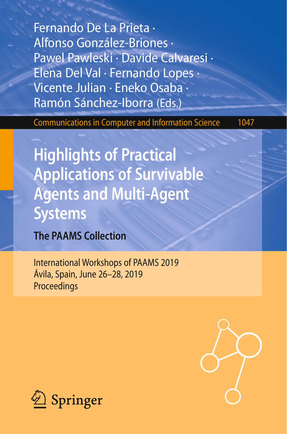Fernando De La Prieta · Alfonso González-Briones · Pawel Pawleski · Davide Calvaresi · Elena Del Val · Fernando Lopes · Vicente Julian · Eneko Osaba · Ramón Sánchez-Iborra (Eds.)

Communications in Computer and Information Science 1047

**Highlights of Practical Applications of Survivable Agents and Multi-Agent Systems**

**The PAAMS Collection**

International Workshops of PAAMS 2019 Ávila, Spain, June 26–28, 2019 **Proceedings** 



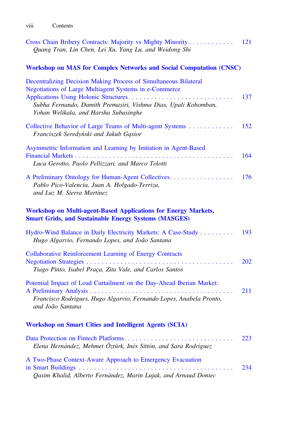| Cross Chain Bribery Contracts: Majority vs Mighty Minority<br>Quang Tran, Lin Chen, Lei Xu, Yang Lu, and Weidong Shi                                                                                                                     |            |  |  |  |
|------------------------------------------------------------------------------------------------------------------------------------------------------------------------------------------------------------------------------------------|------------|--|--|--|
| <b>Workshop on MAS for Complex Networks and Social Computation (CNSC)</b>                                                                                                                                                                |            |  |  |  |
| Decentralizing Decision Making Process of Simultaneous Bilateral<br>Negotiations of Large Multiagent Systems in e-Commerce<br>Subha Fernando, Damith Premasiri, Vishma Dias, Upali Kohomban,<br>Yohan Welikala, and Harsha Subasinghe    | 137        |  |  |  |
| Collective Behavior of Large Teams of Multi-agent Systems<br>Franciszek Seredyński and Jakub Gąsior                                                                                                                                      | 152        |  |  |  |
| Asymmetric Information and Learning by Imitation in Agent-Based<br>Luca Gerotto, Paolo Pellizzari, and Marco Tolotti                                                                                                                     | 164        |  |  |  |
| A Preliminary Ontology for Human-Agent Collectives.<br>Pablo Pico-Valencia, Juan A. Holgado-Terriza,<br>and Luz M. Sierra Martinez                                                                                                       | 176        |  |  |  |
| <b>Workshop on Multi-agent-Based Applications for Energy Markets,</b><br><b>Smart Grids, and Sustainable Energy Systems (MASGES)</b>                                                                                                     |            |  |  |  |
| Hydro-Wind Balance in Daily Electricity Markets: A Case-Study<br>Hugo Algarvio, Fernando Lopes, and João Santana                                                                                                                         | 193        |  |  |  |
| <b>Collaborative Reinforcement Learning of Energy Contracts</b><br>Tiago Pinto, Isabel Praça, Zita Vale, and Carlos Santos                                                                                                               | <b>202</b> |  |  |  |
| Potential Impact of Load Curtailment on the Day-Ahead Iberian Market:<br>A Preliminary Analysis<br>$\mathbf{1}$ , $\mathbf{1}$ , $\mathbf{1}$<br>Francisco Rodrigues, Hugo Algarvio, Fernando Lopes, Anabela Pronto,<br>and João Santana | 211        |  |  |  |
| <b>Workshop on Smart Cities and Intelligent Agents (SCIA)</b>                                                                                                                                                                            |            |  |  |  |
| Data Protection on Fintech Platforms<br>Elena Hernández, Mehmet Öztürk, Inés Sittón, and Sara Rodríguez                                                                                                                                  | 223        |  |  |  |
| A Two-Phase Context-Aware Approach to Emergency Evacuation<br>Qasim Khalid, Alberto Fernández, Marin Lujak, and Arnaud Doniec                                                                                                            | 234        |  |  |  |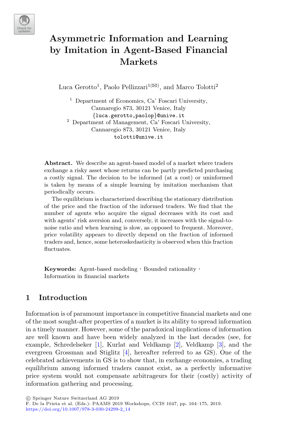

# Asymmetric Information and Learning by Imitation in Agent-Based Financial Markets

Luca Gerotto<sup>1</sup>, Paolo Pellizzari<sup>1( $\boxtimes$ )</sup>, and Marco Tolotti<sup>2</sup>

<sup>1</sup> Department of Economics, Ca' Foscari University, Cannaregio 873, 30121 Venice, Italy *{*luca.gerotto,paolop*}*@unive.it <sup>2</sup> Department of Management, Ca' Foscari University, Cannaregio 873, 30121 Venice, Italy tolotti@unive.it

Abstract. We describe an agent-based model of a market where traders exchange a risky asset whose returns can be partly predicted purchasing a costly signal. The decision to be informed (at a cost) or uninformed is taken by means of a simple learning by imitation mechanism that periodically occurs.

The equilibrium is characterized describing the stationary distribution of the price and the fraction of the informed traders. We find that the number of agents who acquire the signal decreases with its cost and with agents' risk aversion and, conversely, it increases with the signal-tonoise ratio and when learning is slow, as opposed to frequent. Moreover, price volatility appears to directly depend on the fraction of informed traders and, hence, some heteroskedasticity is observed when this fraction fluctuates.

Keywords: Agent-based modeling *·* Bounded rationality *·* Information in financial markets

# 1 Introduction

Information is of paramount importance in competitive financial markets and one of the most sought-after properties of a market is its ability to spread information in a timely manner. However, some of the paradoxical implications of information are well known and have been widely analyzed in the last decades (see, for example, Schredelseker [\[1](#page--1-3)], Kurlat and Veldkamp [\[2](#page--1-4)], Veldkamp [\[3](#page--1-5)], and the evergreen Grossman and Stiglitz [\[4\]](#page--1-6), hereafter referred to as GS). One of the celebrated achievements in GS is to show that, in exchange economies, a trading equilibrium among informed traders cannot exist, as a perfectly informative price system would not compensate arbitrageurs for their (costly) activity of information gathering and processing.

⃝c Springer Nature Switzerland AG 2 019

F. De la Prieta et al. (Eds.): PAAMS 2 019 Workshops, CCIS 1047, pp. 164–175, 2 019. https://doi.org/10.1007/978-3-030-24299-2\_14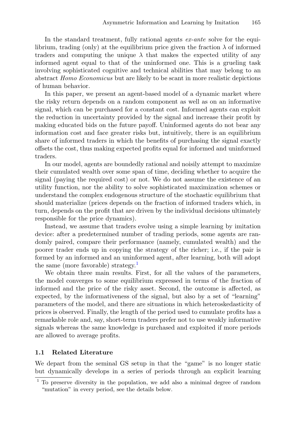In the standard treatment, fully rational agents *ex-ante* solve for the equilibrium, trading (only) at the equilibrium price given the fraction  $\lambda$  of informed traders and computing the unique  $\lambda$  that makes the expected utility of any informed agent equal to that of the uninformed one. This is a grueling task involving sophisticated cognitive and technical abilities that may belong to an abstract *Homo Economicus* but are likely to be scant in more realistic depictions of human behavior.

In this paper, we present an agent-based model of a dynamic market where the risky return depends on a random component as well as on an informative signal, which can be purchased for a constant cost. Informed agents can exploit the reduction in uncertainty provided by the signal and increase their profit by making educated bids on the future payoff. Uninformed agents do not bear any information cost and face greater risks but, intuitively, there is an equilibrium share of informed traders in which the benefits of purchasing the signal exactly offsets the cost, thus making expected profits equal for informed and uninformed traders.

In our model, agents are boundedly rational and noisily attempt to maximize their cumulated wealth over some span of time, deciding whether to acquire the signal (paying the required cost) or not. We do not assume the existence of an utility function, nor the ability to solve sophisticated maximization schemes or understand the complex endogenous structure of the stochastic equilibrium that should materialize (prices depends on the fraction of informed traders which, in turn, depends on the profit that are driven by the individual decisions ultimately responsible for the price dynamics).

Instead, we assume that traders evolve using a simple learning by imitation device: after a predetermined number of trading periods, some agents are randomly paired, compare their performance (namely, cumulated wealth) and the poorer trader ends up in copying the strategy of the richer; i.e., if the pair is formed by an informed and an uninformed agent, after learning, both will adopt the same (more favorable) strategy.<sup>[1](#page--1-7)</sup>

We obtain three main results. First, for all the values of the parameters, the model converges to some equilibrium expressed in terms of the fraction of informed and the price of the risky asset. Second, the outcome is affected, as expected, by the informativeness of the signal, but also by a set of "learning" parameters of the model, and there are situations in which heteroskedasticity of prices is observed. Finally, the length of the period used to cumulate profits has a remarkable role and, say, short-term traders prefer not to use weakly informative signals whereas the same knowledge is purchased and exploited if more periods are allowed to average profits.

#### 1.1 Related Literature

We depart from the seminal GS setup in that the "game" is no longer static but dynamically develops in a series of periods through an explicit learning

<sup>&</sup>lt;sup>1</sup> To preserve diversity in the population, we add also a minimal degree of random "mutation" in every period, see the details below.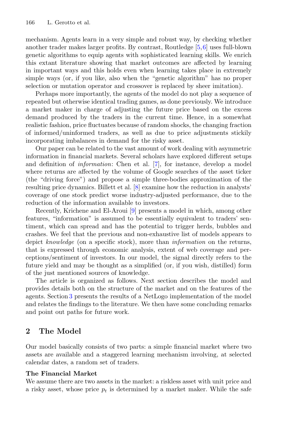mechanism. Agents learn in a very simple and robust way, by checking whether another trader makes larger profits. By contrast, Routledge [\[5,](#page--1-8)[6\]](#page--1-9) uses full-blown genetic algorithms to equip agents with sophisticated learning skills. We enrich this extant literature showing that market outcomes are affected by learning in important ways and this holds even when learning takes place in extremely simple ways (or, if you like, also when the "genetic algorithm" has no proper selection or mutation operator and crossover is replaced by sheer imitation).

Perhaps more importantly, the agents of the model do not play a sequence of repeated but otherwise identical trading games, as done previously. We introduce a market maker in charge of adjusting the future price based on the excess demand produced by the traders in the current time. Hence, in a somewhat realistic fashion, price fluctuates because of random shocks, the changing fraction of informed/uninformed traders, as well as due to price adjustments stickily incorporating imbalances in demand for the risky asset.

Our paper can be related to the vast amount of work dealing with asymmetric information in financial markets. Several scholars have explored different setups and definition of *information*: Chen et al. [\[7\]](#page--1-10), for instance, develop a model where returns are affected by the volume of Google searches of the asset ticker (the "driving force") and propose a simple three-bodies approximation of the resulting price dynamics. Billett et al. [\[8\]](#page--1-11) examine how the reduction in analysts' coverage of one stock predict worse industry-adjusted performance, due to the reduction of the information available to investors.

Recently, Krichene and El-Aroui [\[9](#page--1-12)] presents a model in which, among other features, "information" is assumed to be essentially equivalent to traders' sentiment, which can spread and has the potential to trigger herds, bubbles and crashes. We feel that the previous and non-exhaustive list of models appears to depict *knowledge* (on a specific stock), more than *information* on the returns, that is expressed through economic analysis, extent of web coverage and perceptions/sentiment of investors. In our model, the signal directly refers to the future yield and may be thought as a simplified (or, if you wish, distilled) form of the just mentioned sources of knowledge.

The article is organized as follows. Next section describes the model and provides details both on the structure of the market and on the features of the agents. Section [3](#page--1-13) presents the results of a NetLogo implementation of the model and relates the findings to the literature. We then have some concluding remarks and point out paths for future work.

### 2 The Model

Our model basically consists of two parts: a simple financial market where two assets are available and a staggered learning mechanism involving, at selected calendar dates, a random set of traders.

#### The Financial Market

We assume there are two assets in the market: a riskless asset with unit price and a risky asset, whose price  $p_t$  is determined by a market maker. While the safe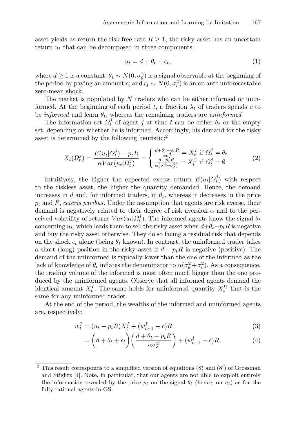asset yields as return the risk-free rate  $R \geq 1$ , the risky asset has an uncertain return  $u_t$  that can be decomposed in three components:

$$
u_t = d + \theta_t + \epsilon_t,\tag{1}
$$

where  $d \ge 1$  is a constant;  $\theta_t \sim N(0, \sigma_{\theta}^2)$  is a signal observable at the beginning of the period by paying an amount *c*; and  $\epsilon_t \sim N(0, \sigma_{\epsilon}^2)$  is an ex-ante unforecastable zero-mean shock.

The market is populated by *N* traders who can be either informed or uninformed. At the beginning of each period  $t$ , a fraction  $\lambda_t$  of traders spends c to be *informed* and learn  $\theta_t$ , whereas the remaining traders are *uninformed*.

The information set  $\Omega_t^j$  of agent *j* at time *t* can be either  $\theta_t$  or the empty set, depending on whether he is informed. Accordingly, his demand for the risky asset is determined by the following heuristic: $<sup>2</sup>$  $<sup>2</sup>$  $<sup>2</sup>$ </sup>

$$
X_t(\Omega_t^j) = \frac{E(u_t|\Omega_t^j) - p_t R}{\alpha Var(u_t|\Omega_t^j)} = \begin{cases} \frac{d + \theta_t - p_t R}{\alpha \sigma_\epsilon^2} = X_t^I \text{ if } \Omega_t^j = \theta_t\\ \frac{d - p_t R}{\alpha (\sigma_\theta^2 + \sigma_\epsilon^2)} = X_t^U \text{ if } \Omega_t^j = \emptyset \end{cases} \tag{2}
$$

Intuitively, the higher the expected excess return  $E(u_t|Q_t^j)$  with respect to the riskless asset, the higher the quantity demanded. Hence, the demand increases in *d* and, for informed traders, in  $\theta_t$ , whereas it decreases in the price *p<sup>t</sup>* and *R*, *ceteris paribus*. Under the assumption that agents are risk averse, their demand is negatively related to their degree of risk aversion  $\alpha$  and to the perceived volatility of returns  $Var(u_t|\Omega_t^j)$ . The informed agents know the signal  $\theta_t$ concerning  $u_t$ , which leads them to sell the risky asset when  $d + \theta_t - p_t R$  is negative and buy the risky asset otherwise. They do so facing a residual risk that depends on the shock  $\epsilon_t$  alone (being  $\theta_t$  known). In contrast, the uninformed trader takes a short (long) position in the risky asset if  $d - p_t R$  is negative (positive). The demand of the uninformed is typically lower than the one of the informed as the lack of knowledge of  $\theta_t$  inflates the denominator to  $\alpha(\sigma_\theta^2 + \sigma_\epsilon^2)$ . As a consequence, the trading volume of the informed is most often much bigger than the one produced by the uninformed agents. Observe that all informed agents demand the identical amount  $X_t^I$ . The same holds for uninformed quantity  $X_t^U$  that is the same for any uninformed trader.

At the end of the period, the wealths of the informed and uninformed agents are, respectively:

$$
w_t^I = (u_t - p_t R)X_t^I + (w_{t-1}^I - c)R
$$
\n(3)

$$
= \left(d + \theta_t + \epsilon_t\right) \left(\frac{d + \theta_t - p_t R}{\alpha \sigma_\epsilon^2}\right) + \left(w_{t-1}^I - c\right) R,\tag{4}
$$

<sup>&</sup>lt;sup>2</sup> This result corresponds to a simplified version of equations  $(8)$  and  $(8')$  of Grossman and Stiglitz [\[4\]](#page--1-6). Note, in particular, that our agents are not able to exploit entirely the information revealed by the price  $p_t$  on the signal  $\theta_t$  (hence, on  $u_t$ ) as for the fully rational agents in GS.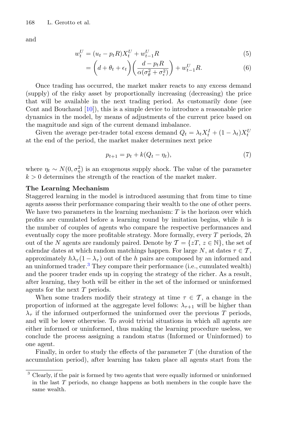and

$$
w_t^U = (u_t - p_t R)X_t^U + w_{t-1}^U R
$$
\n(5)

$$
= \left(d + \theta_t + \epsilon_t\right) \left(\frac{d - p_t R}{\alpha(\sigma_\theta^2 + \sigma_\epsilon^2)}\right) + w_{t-1}^U R. \tag{6}
$$

Once trading has occurred, the market maker reacts to any excess demand (supply) of the risky asset by proportionally increasing (decreasing) the price that will be available in the next trading period. As customarily done (see Cont and Bouchaud [\[10\]](#page--1-15)), this is a simple device to introduce a reasonable price dynamics in the model, by means of adjustments of the current price based on the magnitude and sign of the current demand imbalance.

Given the average per-trader total excess demand  $Q_t = \lambda_t X_t^I + (1 - \lambda_t) X_t^U$ at the end of the period, the market maker determines next price

$$
p_{t+1} = p_t + k(Q_t - \eta_t),
$$
\n(7)

where  $\eta_t \sim N(0, \sigma_{\eta}^2)$  is an exogenous supply shock. The value of the parameter  $k > 0$  determines the strength of the reaction of the market maker.

#### The Learning Mechanism

Staggered learning in the model is introduced assuming that from time to time agents assess their performance comparing their wealth to the one of other peers. We have two parameters in the learning mechanism: *T* is the horizon over which profits are cumulated before a learning round by imitation begins, while *h* is the number of couples of agents who compare the respective performances and eventually copy the more profitable strategy. More formally, every *T* periods, 2*h* out of the *N* agents are randomly paired. Denote by  $\mathcal{T} = \{zT, z \in \mathbb{N}\}\)$ , the set of calendar dates at which random matchings happen. For large *N*, at dates  $\tau \in \mathcal{T}$ , approximately  $h\lambda_\tau (1 - \lambda_\tau)$  out of the *h* pairs are composed by an informed and an uninformed trader.<sup>[3](#page--1-16)</sup> They compare their performance (i.e., cumulated wealth) and the poorer trader ends up in copying the strategy of the richer. As a result, after learning, they both will be either in the set of the informed or uninformed agents for the next *T* periods.

When some traders modify their strategy at time  $\tau \in \mathcal{T}$ , a change in the proportion of informed at the aggregate level follows:  $\lambda_{\tau+1}$  will be higher than  $\lambda_{\tau}$  if the informed outperformed the uninformed over the previous *T* periods, and will be lower otherwise. To avoid trivial situations in which all agents are either informed or uninformed, thus making the learning procedure useless, we conclude the process assigning a random status (Informed or Uninformed) to one agent.

Finally, in order to study the effects of the parameter *T* (the duration of the accumulation period), after learning has taken place all agents start from the

<sup>3</sup> Clearly, if the pair is formed by two agents that were equally informed or uninformed in the last *T* periods, no change happens as both members in the couple have the same wealth.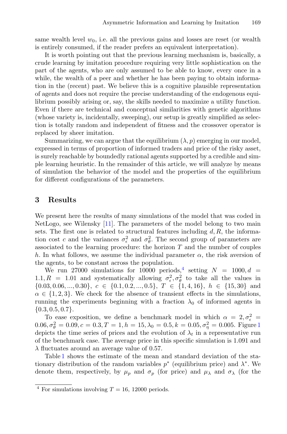same wealth level  $w_0$ , i.e. all the previous gains and losses are reset (or wealth) is entirely consumed, if the reader prefers an equivalent interpretation).

It is worth pointing out that the previous learning mechanism is, basically, a crude learning by imitation procedure requiring very little sophistication on the part of the agents, who are only assumed to be able to know, every once in a while, the wealth of a peer and whether he has been paying to obtain information in the (recent) past. We believe this is a cognitive plausible representation of agents and does not require the precise understanding of the endogenous equilibrium possibly arising or, say, the skills needed to maximize a utility function. Even if there are technical and conceptual similarities with genetic algorithms (whose variety is, incidentally, sweeping), our setup is greatly simplified as selection is totally random and independent of fitness and the crossover operator is replaced by sheer imitation.

Summarizing, we can argue that the equilibrium  $(\lambda, p)$  emerging in our model, expressed in terms of proportion of informed traders and price of the risky asset, is surely reachable by boundedly rational agents supported by a credible and simple learning heuristic. In the remainder of this article, we will analyze by means of simulation the behavior of the model and the properties of the equilibrium for different configurations of the parameters.

#### 3 Results

We present here the results of many simulations of the model that was coded in NetLogo, see Wilensky [\[11\]](#page--1-17). The parameters of the model belong to two main sets. The first one is related to structural features including  $d, R$ , the information cost *c* and the variances  $\sigma_{\epsilon}^2$  and  $\sigma_{\theta}^2$ . The second group of parameters are associated to the learning procedure: the horizon *T* and the number of couples *h*. In what follows, we assume the individual parameter  $\alpha$ , the risk aversion of the agents, to be constant across the population.

We run 27000 simulations for 10000 periods,<sup>[4](#page--1-18)</sup> setting  $N = 1000, d =$ 1.1,  $R = 1.01$  and systematically allowing  $\sigma_{\epsilon}^2, \sigma_{\theta}^2$  to take all the values in  $\{0.03, 0.06, ..., 0.30\}, c \in \{0.1, 0.2, ..., 0.5\}, T \in \{1, 4, 16\}, h \in \{15, 30\}$  and  $\alpha \in \{1, 2, 3\}$ . We check for the absence of transient effects in the simulations, running the experiments beginning with a fraction  $\lambda_0$  of informed agents in *{*0*.*3*,* 0*.*5*,* 0*.*7*}* .

To ease exposition, we define a benchmark model in which  $\alpha = 2, \sigma_{\epsilon}^2 =$  $0.06, \sigma_{\theta}^2 = 0.09, c = 0.3, T = 1, h = 15, \lambda_0 = 0.5, k = 0.05, \sigma_{\eta}^2 = 0.005$  $0.06, \sigma_{\theta}^2 = 0.09, c = 0.3, T = 1, h = 15, \lambda_0 = 0.5, k = 0.05, \sigma_{\eta}^2 = 0.005$  $0.06, \sigma_{\theta}^2 = 0.09, c = 0.3, T = 1, h = 15, \lambda_0 = 0.5, k = 0.05, \sigma_{\eta}^2 = 0.005$ . Figure 1 depicts the time series of prices and the evolution of  $\lambda_t$  in a representative run of the benchmark case. The average price in this specific simulation is 1.091 and  $\lambda$  fluctuates around an average value of 0.57.

Table [1](#page--1-20) shows the estimate of the mean and standard deviation of the stationary distribution of the random variables  $p^*$  (equilibrium price) and  $\lambda^*$ . We denote them, respectively, by  $\mu_p$  and  $\sigma_p$  (for price) and  $\mu_\lambda$  and  $\sigma_\lambda$  (for the

<sup>&</sup>lt;sup>4</sup> For simulations involving  $T = 16$ , 12000 periods.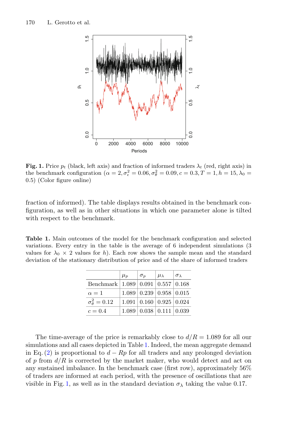

Fig. 1. Price  $p_t$  (black, left axis) and fraction of informed traders  $\lambda_t$  (red, right axis) in the benchmark configuration  $(\alpha = 2, \sigma_{\epsilon}^2 = 0.06, \sigma_{\theta}^2 = 0.09, c = 0.3, T = 1, h = 15, \lambda_0 =$ 0*.*5) (Color figure online)

fraction of informed). The table displays results obtained in the benchmark configuration, as well as in other situations in which one parameter alone is tilted with respect to the benchmark.

Table 1. Main outcomes of the model for the benchmark configuration and selected variations. Every entry in the table is the average of 6 independent simulations (3 values for  $\lambda_0 \times 2$  values for h. Each row shows the sample mean and the standard deviation of the stationary distribution of price and of the share of informed traders

|                                           | $\mu_p$ | $\sigma_p$                               | $\mu_{\lambda}$ | $\sigma_{\lambda}$ |
|-------------------------------------------|---------|------------------------------------------|-----------------|--------------------|
| Benchmark   1.089   0.091   0.557   0.168 |         |                                          |                 |                    |
| $\alpha = 1$                              |         | $1.089 \mid 0.239 \mid 0.958 \mid 0.015$ |                 |                    |
| $\sigma_{\theta}^2 = 0.12$                |         | $1.091$   0.160   0.925   0.024          |                 |                    |
| $c=0.4$                                   |         | $1.089 \mid 0.038 \mid 0.111 \mid 0.039$ |                 |                    |

The time-average of the price is remarkably close to  $d/R = 1.089$  for all our simulations and all cases depicted in Table [1.](#page--1-20) Indeed, the mean aggregate demand in Eq. [\(2\)](#page--1-21) is proportional to  $d - Rp$  for all traders and any prolonged deviation of *p* from *d*/*R* is corrected by the market maker, who would detect and act on any sustained imbalance. In the benchmark case (first row), approximately 56% of traders are informed at each period, with the presence of oscillations that are visible in Fig. [1,](#page--1-19) as well as in the standard deviation  $\sigma_{\lambda}$  taking the value 0.17.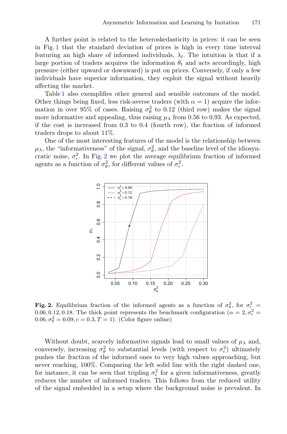A further point is related to the heteroskedasticity in prices: it can be seen in Fig. [1](#page--1-19) that the standard deviation of prices is high in every time interval featuring an high share of informed individuals,  $\lambda_t$ . The intuition is that if a large portion of traders acquires the information  $\theta_t$  and acts accordingly, high pressure (either upward or downward) is put on prices. Conversely, if only a few individuals have superior information, they exploit the signal without heavily affecting the market.

Table [1](#page--1-20) also exemplifies other general and sensible outcomes of the model. Other things being fixed, less risk-averse traders (with  $\alpha = 1$ ) acquire the information in over 95% of cases. Raising  $\sigma_{\theta}^2$  to 0.12 (third row) makes the signal more informative and appealing, thus raising  $\mu_{\lambda}$  from 0.56 to 0.93. As expected, if the cost is increased from 0.3 to 0.4 (fourth row), the fraction of informed traders drops to about 11%.

One of the most interesting features of the model is the relationship between  $\mu_{\lambda}$ , the "informativeness" of the signal,  $\sigma_{\theta}^2$ , and the baseline level of the idiosyncratic noise,  $\sigma_{\epsilon}^2$  $\sigma_{\epsilon}^2$ . In Fig. 2 we plot the average equilibrium fraction of informed agents as a function of  $\sigma_{\theta}^2$ , for different values of  $\sigma_{\epsilon}^2$ .



**Fig. 2.** Equilibrium fraction of the informed agents as a function of  $\sigma_{\theta}^2$ , for  $\sigma_{\epsilon}^2$  = 0.06, 0.12, 0.18. The thick point represents the benchmark configuration ( $\alpha = 2, \sigma_{\epsilon}^2 =$  $0.06, \sigma_{\theta}^2 = 0.09, c = 0.3, T = 1$ ). (Color figure online)

Without doubt, scarcely informative signals lead to small values of  $\mu_{\lambda}$  and, conversely, increasing  $\sigma_{\theta}^2$  to substantial levels (with respect to  $\sigma_{\epsilon}^2$ ) ultimately pushes the fraction of the informed ones to very high values approaching, but never reaching, 100%. Comparing the left solid line with the right dashed one, for instance, it can be seen that tripling  $\sigma_{\epsilon}^2$  for a given informativeness, greatly reduces the number of informed traders. This follows from the reduced utility of the signal embedded in a setup where the background noise is prevalent. In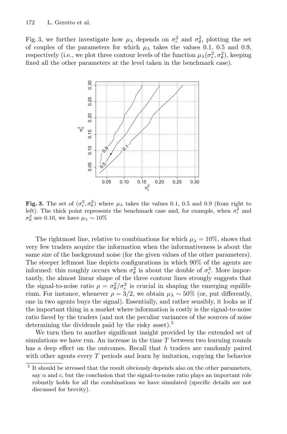Fig. [3,](#page--1-23) we further investigate how  $\mu_{\lambda}$  depends on  $\sigma_{\epsilon}^2$  and  $\sigma_{\theta}^2$ , plotting the set of couples of the parameters for which  $\mu_{\lambda}$  takes the values 0.1, 0.5 and 0.9, respectively (i.e., we plot three contour levels of the function  $\mu_{\lambda}(\sigma_{\epsilon}^2, \sigma_{\theta}^2)$ , keeping fixed all the other parameters at the level taken in the benchmark case).



Fig. 3. The set of  $(\sigma_{\epsilon}^2, \sigma_{\theta}^2)$  where  $\mu_{\lambda}$  takes the values 0.1, 0.5 and 0.9 (from right to left). The thick point represents the benchmark case and, for example, when  $\sigma_{\epsilon}^2$  and  $\sigma_{\theta}^2$  are 0.10, we have  $\mu_{\lambda} \sim 10\%$ 

The rightmost line, relative to combinations for which  $\mu_{\lambda} = 10\%$ , shows that very few traders acquire the information when the informativeness is about the same size of the background noise (for the given values of the other parameters). The steeper leftmost line depicts configurations in which 90% of the agents are informed: this roughly occurs when  $\sigma_{\theta}^2$  is about the double of  $\sigma_{\epsilon}^2$ . More importantly, the almost linear shape of the three contour lines strongly suggests that the signal-to-noise ratio  $\rho = \sigma_{\theta}^2 / \sigma_{\epsilon}^2$  is crucial in shaping the emerging equilibrium. For instance, whenever  $\rho = 3/2$ , we obtain  $\mu_{\lambda} \sim 50\%$  (or, put differently, one in two agents buys the signal). Essentially, and rather sensibly, it looks as if the important thing in a market where information is costly is the signal-to-noise ratio faced by the traders (and not the peculiar variances of the sources of noise determining the dividends paid by the risky asset).<sup>[5](#page--1-24)</sup>

We turn then to another significant insight provided by the extended set of simulations we have run. An increase in the time *T* between two learning rounds has a deep effect on the outcomes. Recall that *h* traders are randomly paired with other agents every *T* periods and learn by imitation, copying the behavior

 $^5$  It should be stressed that the result obviously depends also on the other parameters, say  $\alpha$  and  $c$ , but the conclusion that the signal-to-noise ratio plays an important role robustly holds for all the combinations we have simulated (specific details are not discussed for brevity).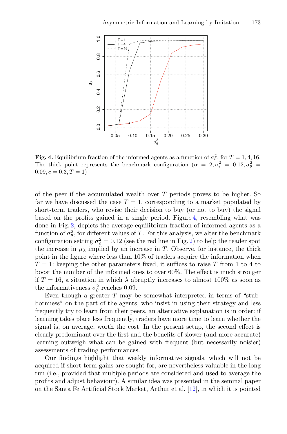

Fig. 4. Equilibrium fraction of the informed agents as a function of  $\sigma_{\theta}^2$ , for  $T = 1, 4, 16$ . The thick point represents the benchmark configuration ( $\alpha = 2, \sigma_{\epsilon}^2 = 0.12, \sigma_{\theta}^2 = 0$  $0.09, c = 0.3, T = 1$ 

of the peer if the accumulated wealth over *T* periods proves to be higher. So far we have discussed the case  $T = 1$ , corresponding to a market populated by short-term traders, who revise their decision to buy (or not to buy) the signal based on the profits gained in a single period. Figure [4,](#page--1-25) resembling what was done in Fig. [2,](#page--1-22) depicts the average equilibrium fraction of informed agents as a function of  $\sigma_{\theta}^2$ , for different values of *T*. For this analysis, we alter the benchmark configuration setting  $\sigma_{\epsilon}^2 = 0.12$  (see the red line in Fig. [2\)](#page--1-22) to help the reader spot the increase in  $\mu_{\lambda}$  implied by an increase in *T*. Observe, for instance, the thick point in the figure where less than 10% of traders acquire the information when  $T = 1$ : keeping the other parameters fixed, it suffices to raise *T* from 1 to 4 to boost the number of the informed ones to over 60%. The effect is much stronger if  $T = 16$ , a situation in which  $\lambda$  abruptly increases to almost 100% as soon as the informativeness  $\sigma_{\theta}^2$  reaches 0.09.

Even though a greater *T* may be somewhat interpreted in terms of "stubbornness" on the part of the agents, who insist in using their strategy and less frequently try to learn from their peers, an alternative explanation is in order: if learning takes place less frequently, traders have more time to learn whether the signal is, on average, worth the cost. In the present setup, the second effect is clearly predominant over the first and the benefits of slower (and more accurate) learning outweigh what can be gained with frequent (but necessarily noisier) assessments of trading performances.

Our findings highlight that weakly informative signals, which will not be acquired if short-term gains are sought for, are nevertheless valuable in the long run (i.e., provided that multiple periods are considered and used to average the profits and adjust behaviour). A similar idea was presented in the seminal paper on the Santa Fe Artificial Stock Market, Arthur et al. [\[12\]](#page--1-26), in which it is pointed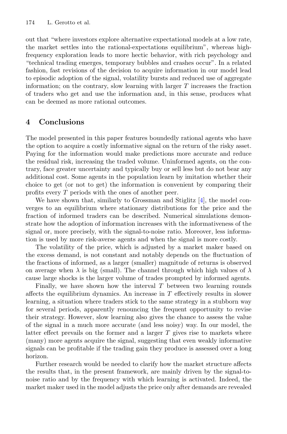out that "where investors explore alternative expectational models at a low rate, the market settles into the rational-expectations equilibrium", whereas highfrequency exploration leads to more hectic behavior, with rich psychology and "technical trading emerges, temporary bubbles and crashes occur". In a related fashion, fast revisions of the decision to acquire information in our model lead to episodic adoption of the signal, volatility bursts and reduced use of aggregate information; on the contrary, slow learning with larger *T* increases the fraction of traders who get and use the information and, in this sense, produces what can be deemed as more rational outcomes.

# 4 Conclusions

The model presented in this paper features boundedly rational agents who have the option to acquire a costly informative signal on the return of the risky asset. Paying for the information would make predictions more accurate and reduce the residual risk, increasing the traded volume. Uninformed agents, on the contrary, face greater uncertainty and typically buy or sell less but do not bear any additional cost. Some agents in the population learn by imitation whether their choice to get (or not to get) the information is convenient by comparing their profits every *T* periods with the ones of another peer.

We have shown that, similarly to Grossman and Stiglitz [\[4](#page--1-6)], the model converges to an equilibrium where stationary distributions for the price and the fraction of informed traders can be described. Numerical simulations demonstrate how the adoption of information increases with the informativeness of the signal or, more precisely, with the signal-to-noise ratio. Moreover, less information is used by more risk-averse agents and when the signal is more costly.

The volatility of the price, which is adjusted by a market maker based on the excess demand, is not constant and notably depends on the fluctuation of the fractions of informed, as a larger (smaller) magnitude of returns is observed on average when  $\lambda$  is big (small). The channel through which high values of  $\lambda$ cause large shocks is the larger volume of trades prompted by informed agents.

Finally, we have shown how the interval *T* between two learning rounds affects the equilibrium dynamics. An increase in *T* effectively results in slower learning, a situation where traders stick to the same strategy in a stubborn way for several periods, apparently renouncing the frequent opportunity to revise their strategy. However, slow learning also gives the chance to assess the value of the signal in a much more accurate (and less noisy) way. In our model, the latter effect prevails on the former and a larger *T* gives rise to markets where (many) more agents acquire the signal, suggesting that even weakly informative signals can be profitable if the trading gain they produce is assessed over a long horizon.

Further research would be needed to clarify how the market structure affects the results that, in the present framework, are mainly driven by the signal-tonoise ratio and by the frequency with which learning is activated. Indeed, the market maker used in the model adjusts the price only after demands are revealed